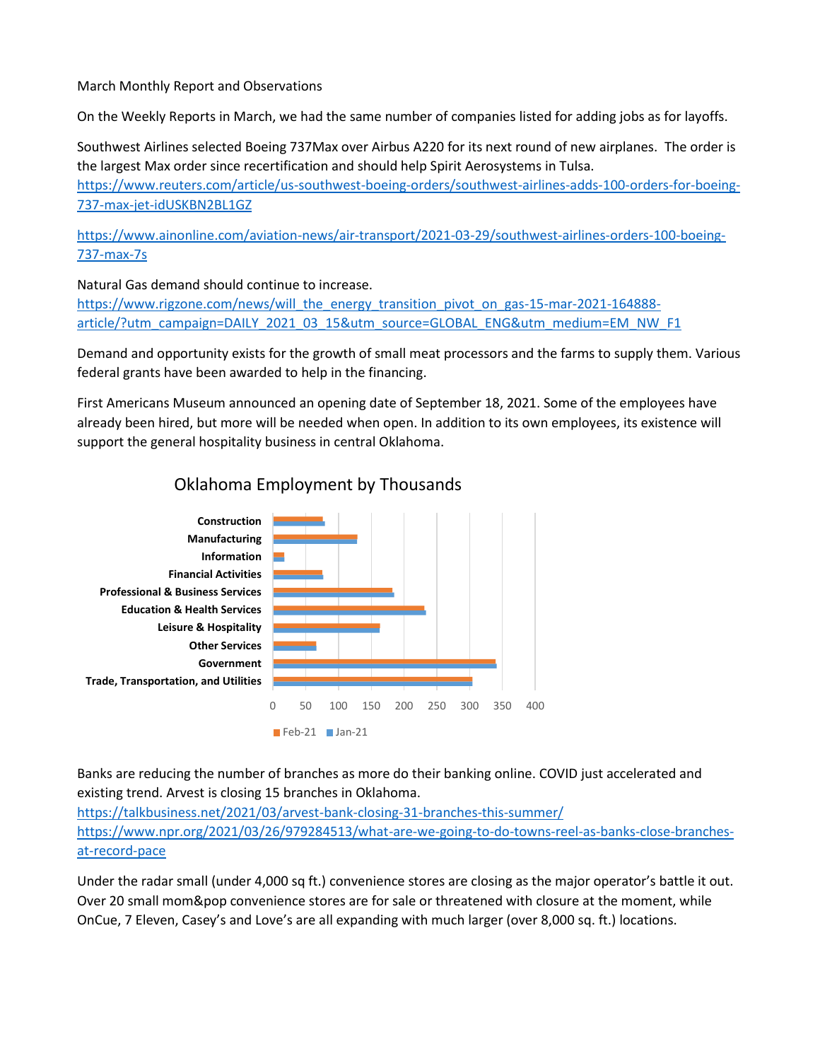#### March Monthly Report and Observations

On the Weekly Reports in March, we had the same number of companies listed for adding jobs as for layoffs.

Southwest Airlines selected Boeing 737Max over Airbus A220 for its next round of new airplanes. The order is the largest Max order since recertification and should help Spirit Aerosystems in Tulsa. [https://www.reuters.com/article/us-southwest-boeing-orders/southwest-airlines-adds-100-orders-for-boeing-](https://www.reuters.com/article/us-southwest-boeing-orders/southwest-airlines-adds-100-orders-for-boeing-737-max-jet-idUSKBN2BL1GZ)[737-max-jet-idUSKBN2BL1GZ](https://www.reuters.com/article/us-southwest-boeing-orders/southwest-airlines-adds-100-orders-for-boeing-737-max-jet-idUSKBN2BL1GZ)

[https://www.ainonline.com/aviation-news/air-transport/2021-03-29/southwest-airlines-orders-100-boeing-](https://www.ainonline.com/aviation-news/air-transport/2021-03-29/southwest-airlines-orders-100-boeing-737-max-7s)[737-max-7s](https://www.ainonline.com/aviation-news/air-transport/2021-03-29/southwest-airlines-orders-100-boeing-737-max-7s)

Natural Gas demand should continue to increase.

[https://www.rigzone.com/news/will\\_the\\_energy\\_transition\\_pivot\\_on\\_gas-15-mar-2021-164888](https://www.rigzone.com/news/will_the_energy_transition_pivot_on_gas-15-mar-2021-164888-article/?utm_campaign=DAILY_2021_03_15&utm_source=GLOBAL_ENG&utm_medium=EM_NW_F1) [article/?utm\\_campaign=DAILY\\_2021\\_03\\_15&utm\\_source=GLOBAL\\_ENG&utm\\_medium=EM\\_NW\\_F1](https://www.rigzone.com/news/will_the_energy_transition_pivot_on_gas-15-mar-2021-164888-article/?utm_campaign=DAILY_2021_03_15&utm_source=GLOBAL_ENG&utm_medium=EM_NW_F1)

Demand and opportunity exists for the growth of small meat processors and the farms to supply them. Various federal grants have been awarded to help in the financing.

First Americans Museum announced an opening date of September 18, 2021. Some of the employees have already been hired, but more will be needed when open. In addition to its own employees, its existence will support the general hospitality business in central Oklahoma.



### Oklahoma Employment by Thousands

Banks are reducing the number of branches as more do their banking online. COVID just accelerated and existing trend. Arvest is closing 15 branches in Oklahoma.

<https://talkbusiness.net/2021/03/arvest-bank-closing-31-branches-this-summer/> [https://www.npr.org/2021/03/26/979284513/what-are-we-going-to-do-towns-reel-as-banks-close-branches](https://www.npr.org/2021/03/26/979284513/what-are-we-going-to-do-towns-reel-as-banks-close-branches-at-record-pace)[at-record-pace](https://www.npr.org/2021/03/26/979284513/what-are-we-going-to-do-towns-reel-as-banks-close-branches-at-record-pace)

Under the radar small (under 4,000 sq ft.) convenience stores are closing as the major operator's battle it out. Over 20 small mom&pop convenience stores are for sale or threatened with closure at the moment, while OnCue, 7 Eleven, Casey's and Love's are all expanding with much larger (over 8,000 sq. ft.) locations.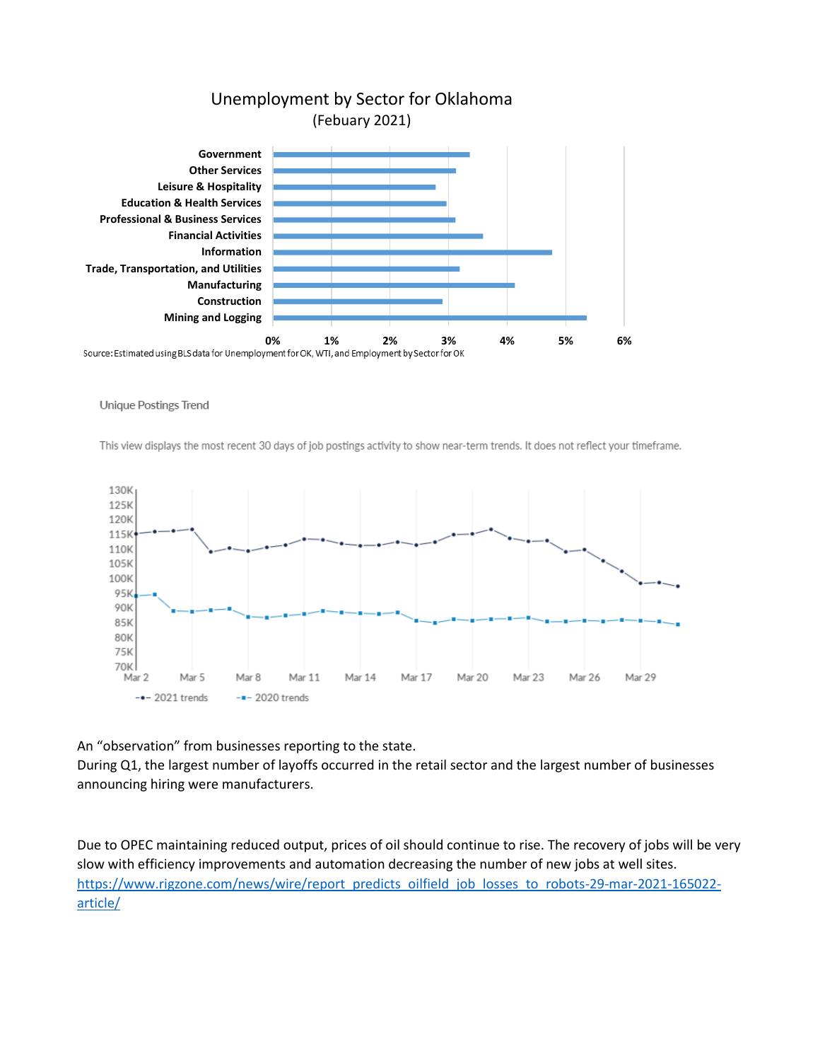

## Unemployment by Sector for Oklahoma (Febuary 2021)

**Unique Postings Trend** 

This view displays the most recent 30 days of job postings activity to show near-term trends. It does not reflect your timeframe.



An "observation" from businesses reporting to the state.

During Q1, the largest number of layoffs occurred in the retail sector and the largest number of businesses announcing hiring were manufacturers.

Due to OPEC maintaining reduced output, prices of oil should continue to rise. The recovery of jobs will be very slow with efficiency improvements and automation decreasing the number of new jobs at well sites. [https://www.rigzone.com/news/wire/report\\_predicts\\_oilfield\\_job\\_losses\\_to\\_robots-29-mar-2021-165022](https://www.rigzone.com/news/wire/report_predicts_oilfield_job_losses_to_robots-29-mar-2021-165022-article/) [article/](https://www.rigzone.com/news/wire/report_predicts_oilfield_job_losses_to_robots-29-mar-2021-165022-article/)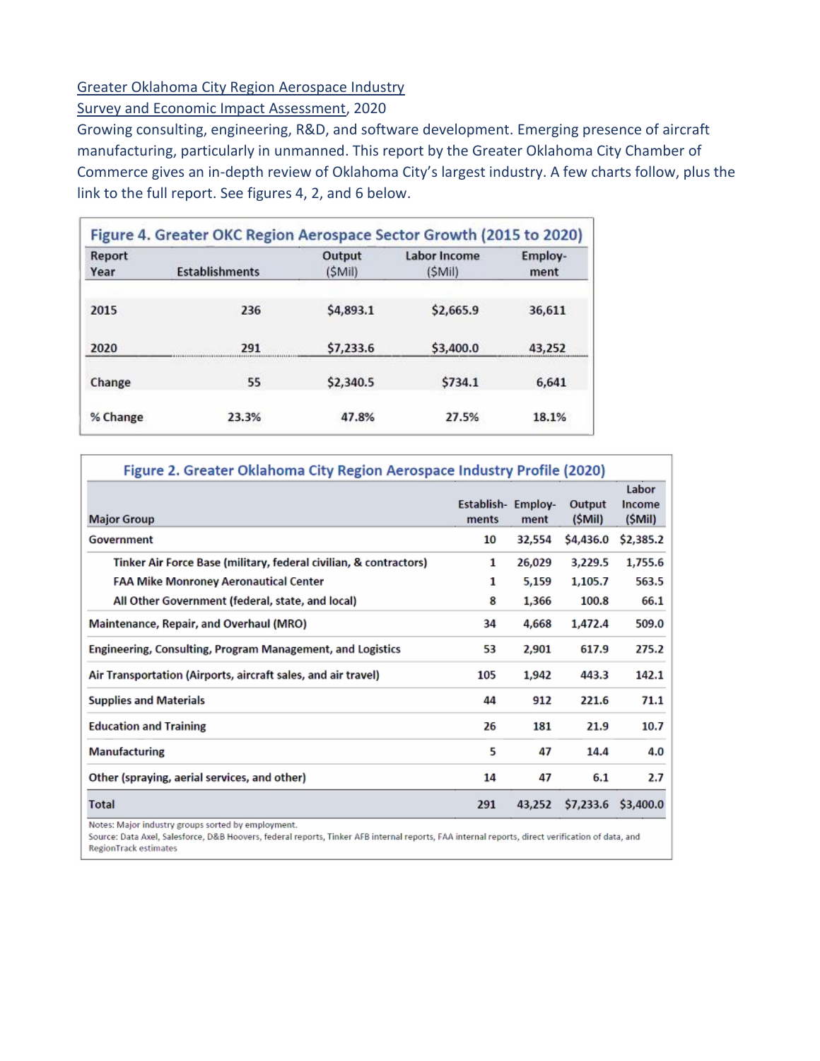#### Greater Oklahoma City Region Aerospace Industry

Survey and Economic Impact Assessment, 2020

Growing consulting, engineering, R&D, and software development. Emerging presence of aircraft manufacturing, particularly in unmanned. This report by the Greater Oklahoma City Chamber of Commerce gives an in-depth review of Oklahoma City's largest industry. A few charts follow, plus the link to the full report. See figures 4, 2, and 6 below.

| Report<br>Year | <b>Establishments</b> | Output<br>(SMil) | Labor Income<br>(SMil) | Employ-<br>ment |
|----------------|-----------------------|------------------|------------------------|-----------------|
| 2015           | 236                   | \$4,893.1        | \$2,665.9              | 36,611          |
| 2020           | 291                   | \$7,233.6        | \$3,400.0              | 43,252          |
| Change         | 55                    | \$2,340.5        | \$734.1                | 6.641           |
| % Change       | 23.3%                 | 47.8%            | 27.5%                  | 18.1%           |

| Figure 2. Greater Oklahoma City Region Aerospace Industry Profile (2020)            |                            |        |                  |                           |  |  |
|-------------------------------------------------------------------------------------|----------------------------|--------|------------------|---------------------------|--|--|
| <b>Major Group</b>                                                                  | Establish-Employ-<br>ments | ment   | Output<br>(SMil) | Labor<br>Income<br>(SMil) |  |  |
| Government                                                                          | 10                         | 32,554 | \$4,436.0        | \$2,385.2                 |  |  |
| Tinker Air Force Base (military, federal civilian, & contractors)                   | 1                          | 26,029 | 3,229.5          | 1,755.6                   |  |  |
| <b>FAA Mike Monroney Aeronautical Center</b>                                        | 1                          | 5,159  | 1,105.7          | 563.5                     |  |  |
| All Other Government (federal, state, and local)                                    | 8                          | 1,366  | 100.8            | 66.1                      |  |  |
| Maintenance, Repair, and Overhaul (MRO)                                             | 34                         | 4,668  | 1,472.4          | 509.0                     |  |  |
| Engineering, Consulting, Program Management, and Logistics                          | 53                         | 2,901  | 617.9            | 275.2                     |  |  |
| Air Transportation (Airports, aircraft sales, and air travel)                       | 105                        | 1,942  | 443.3            | 142.1                     |  |  |
| <b>Supplies and Materials</b>                                                       | 44                         | 912    | 221.6            | 71.1                      |  |  |
| <b>Education and Training</b>                                                       | 26                         | 181    | 21.9             | 10.7                      |  |  |
| <b>Manufacturing</b>                                                                | 5                          | 47     | 14.4             | 4.0                       |  |  |
| Other (spraying, aerial services, and other)                                        | 14                         | 47     | 6.1              | 2.7                       |  |  |
| <b>Total</b>                                                                        | 291                        | 43,252 | \$7,233.6        | \$3,400.0                 |  |  |
| Advanced March 1, March 2, March<br>contractor of the contractor and the contractor |                            |        |                  |                           |  |  |

Notes: Major industry groups sorted by employment.

Source: Data Axel, Salesforce, D&B Hoovers, federal reports, Tinker AFB internal reports, FAA internal reports, direct verification of data, and RegionTrack estimates